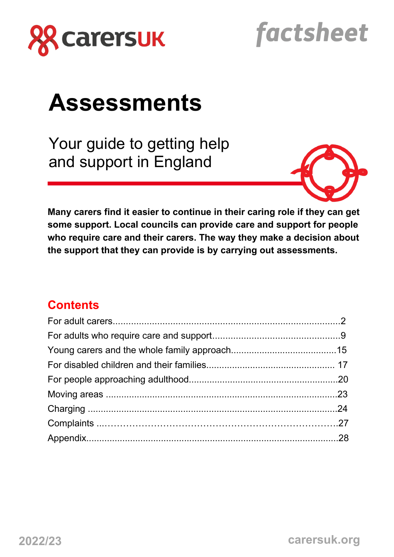

# factsheet

# **Assessments**

Your guide to getting help and support in England



**Many carers find it easier to continue in their caring role if they can get some support. Local councils can provide care and support for people who require care and their carers. The way they make a decision about the support that they can provide is by carrying out assessments.**

# **Contents**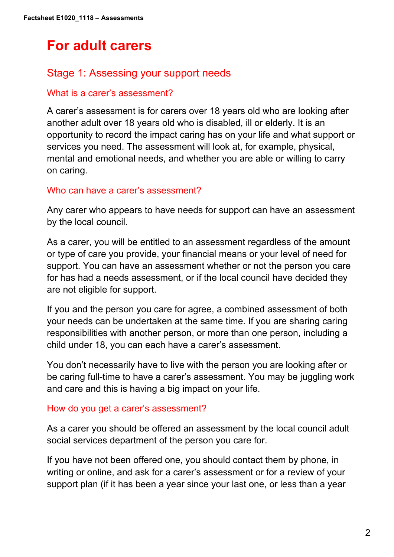# **For adult carers**

# Stage 1: Assessing your support needs

# What is a carer's assessment?

A carer's assessment is for carers over 18 years old who are looking after another adult over 18 years old who is disabled, ill or elderly. It is an opportunity to record the impact caring has on your life and what support or services you need. The assessment will look at, for example, physical, mental and emotional needs, and whether you are able or willing to carry on caring.

## Who can have a carer's assessment?

Any carer who appears to have needs for support can have an assessment by the local council.

As a carer, you will be entitled to an assessment regardless of the amount or type of care you provide, your financial means or your level of need for support. You can have an assessment whether or not the person you care for has had a needs assessment, or if the local council have decided they are not eligible for support.

If you and the person you care for agree, a combined assessment of both your needs can be undertaken at the same time. If you are sharing caring responsibilities with another person, or more than one person, including a child under 18, you can each have a carer's assessment.

You don't necessarily have to live with the person you are looking after or be caring full-time to have a carer's assessment. You may be juggling work and care and this is having a big impact on your life.

## How do you get a carer's assessment?

As a carer you should be offered an assessment by the local council adult social services department of the person you care for.

If you have not been offered one, you should contact them by phone, in writing or online, and ask for a carer's assessment or for a review of your support plan (if it has been a year since your last one, or less than a year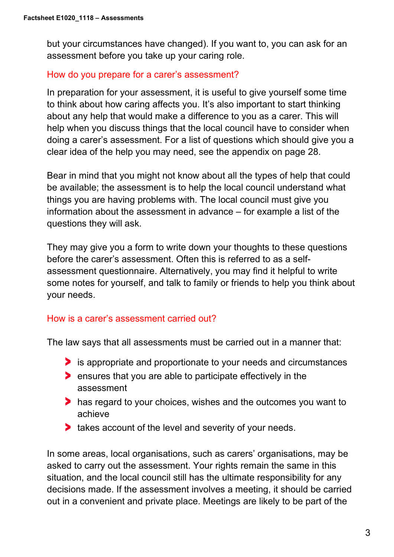but your circumstances have changed). If you want to, you can ask for an assessment before you take up your caring role.

#### How do you prepare for a carer's assessment?

In preparation for your assessment, it is useful to give yourself some time to think about how caring affects you. It's also important to start thinking about any help that would make a difference to you as a carer. This will help when you discuss things that the local council have to consider when doing a carer's assessment. For a list of questions which should give you a clear idea of the help you may need, see the appendix on page 28.

Bear in mind that you might not know about all the types of help that could be available; the assessment is to help the local council understand what things you are having problems with. The local council must give you information about the assessment in advance – for example a list of the questions they will ask.

They may give you a form to write down your thoughts to these questions before the carer's assessment. Often this is referred to as a selfassessment questionnaire. Alternatively, you may find it helpful to write some notes for yourself, and talk to family or friends to help you think about your needs.

## How is a carer's assessment carried out?

The law says that all assessments must be carried out in a manner that:

- is appropriate and proportionate to your needs and circumstances
- **EX** ensures that you are able to participate effectively in the assessment
- has regard to your choices, wishes and the outcomes you want to achieve
- **takes account of the level and severity of your needs.**

In some areas, local organisations, such as carers' organisations, may be asked to carry out the assessment. Your rights remain the same in this situation, and the local council still has the ultimate responsibility for any decisions made. If the assessment involves a meeting, it should be carried out in a convenient and private place. Meetings are likely to be part of the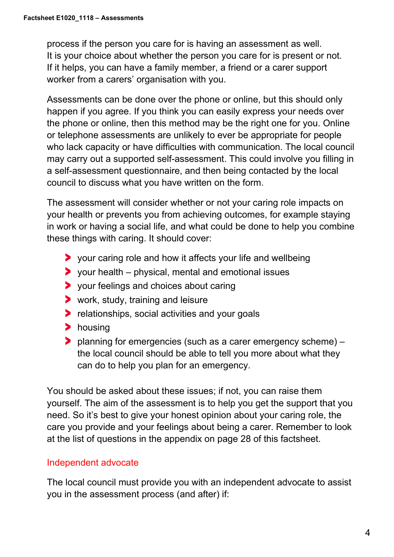process if the person you care for is having an assessment as well. It is your choice about whether the person you care for is present or not. If it helps, you can have a family member, a friend or a carer support worker from a carers' organisation with you.

Assessments can be done over the phone or online, but this should only happen if you agree. If you think you can easily express your needs over the phone or online, then this method may be the right one for you. Online or telephone assessments are unlikely to ever be appropriate for people who lack capacity or have difficulties with communication. The local council may carry out a supported self-assessment. This could involve you filling in a self-assessment questionnaire, and then being contacted by the local council to discuss what you have written on the form.

The assessment will consider whether or not your caring role impacts on your health or prevents you from achieving outcomes, for example staying in work or having a social life, and what could be done to help you combine these things with caring. It should cover:

- your caring role and how it affects your life and wellbeing
- $\triangleright$  your health physical, mental and emotional issues
- your feelings and choices about caring
- **>** work, study, training and leisure
- **P** relationships, social activities and your goals
- > housing
- planning for emergencies (such as a carer emergency scheme) the local council should be able to tell you more about what they can do to help you plan for an emergency.

You should be asked about these issues; if not, you can raise them yourself. The aim of the assessment is to help you get the support that you need. So it's best to give your honest opinion about your caring role, the care you provide and your feelings about being a carer. Remember to look at the list of questions in the appendix on page 28 of this factsheet.

## Independent advocate

The local council must provide you with an independent advocate to assist you in the assessment process (and after) if: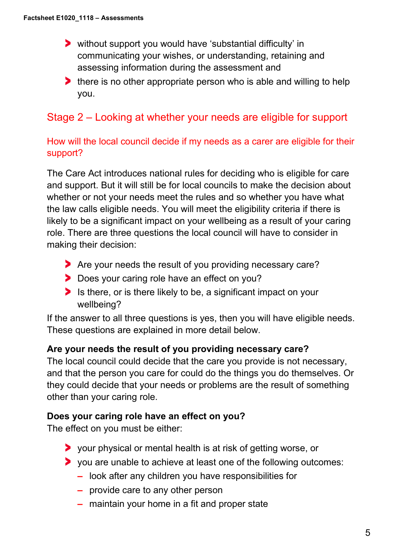- without support you would have 'substantial difficulty' in communicating your wishes, or understanding, retaining and assessing information during the assessment and
- **there is no other appropriate person who is able and willing to help** you.

# Stage 2 – Looking at whether your needs are eligible for support

# How will the local council decide if my needs as a carer are eligible for their support?

The Care Act introduces national rules for deciding who is eligible for care and support. But it will still be for local councils to make the decision about whether or not your needs meet the rules and so whether you have what the law calls eligible needs. You will meet the eligibility criteria if there is likely to be a significant impact on your wellbeing as a result of your caring role. There are three questions the local council will have to consider in making their decision:

- Are your needs the result of you providing necessary care?
- Does your caring role have an effect on you?
- Is there, or is there likely to be, a significant impact on your wellbeing?

If the answer to all three questions is yes, then you will have eligible needs. These questions are explained in more detail below.

## **Are your needs the result of you providing necessary care?**

The local council could decide that the care you provide is not necessary, and that the person you care for could do the things you do themselves. Or they could decide that your needs or problems are the result of something other than your caring role.

#### **Does your caring role have an effect on you?**

The effect on you must be either:

- your physical or mental health is at risk of getting worse, or
- you are unable to achieve at least one of the following outcomes:
	- **–** look after any children you have responsibilities for
	- **–** provide care to any other person
	- **–** maintain your home in a fit and proper state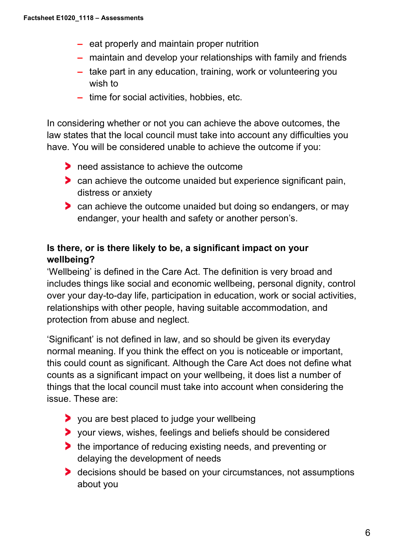- **–** eat properly and maintain proper nutrition
- **–** maintain and develop your relationships with family and friends
- **–** take part in any education, training, work or volunteering you wish to
- **–** time for social activities, hobbies, etc.

In considering whether or not you can achieve the above outcomes, the law states that the local council must take into account any difficulties you have. You will be considered unable to achieve the outcome if you:

- heed assistance to achieve the outcome
- can achieve the outcome unaided but experience significant pain, distress or anxiety
- **Can achieve the outcome unaided but doing so endangers, or may** endanger, your health and safety or another person's.

# **Is there, or is there likely to be, a significant impact on your wellbeing?**

'Wellbeing' is defined in the Care Act. The definition is very broad and includes things like social and economic wellbeing, personal dignity, control over your day-to-day life, participation in education, work or social activities, relationships with other people, having suitable accommodation, and protection from abuse and neglect.

'Significant' is not defined in law, and so should be given its everyday normal meaning. If you think the effect on you is noticeable or important, this could count as significant. Although the Care Act does not define what counts as a significant impact on your wellbeing, it does list a number of things that the local council must take into account when considering the issue. These are:

- you are best placed to judge your wellbeing
- your views, wishes, feelings and beliefs should be considered
- If the importance of reducing existing needs, and preventing or delaying the development of needs
- **b** decisions should be based on your circumstances, not assumptions about you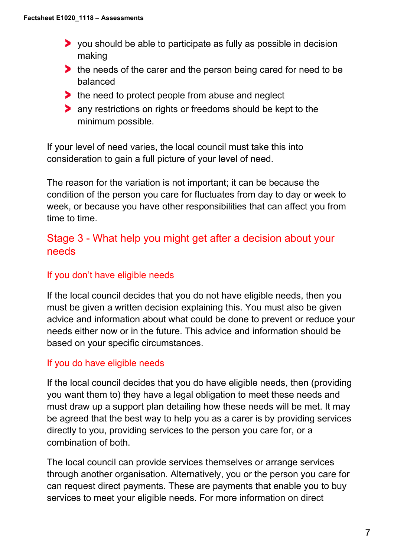- you should be able to participate as fully as possible in decision making
- the needs of the carer and the person being cared for need to be balanced
- $\blacktriangleright$  the need to protect people from abuse and neglect
- **any restrictions on rights or freedoms should be kept to the** minimum possible.

If your level of need varies, the local council must take this into consideration to gain a full picture of your level of need.

The reason for the variation is not important; it can be because the condition of the person you care for fluctuates from day to day or week to week, or because you have other responsibilities that can affect you from time to time.

# Stage 3 - What help you might get after a decision about your needs

# If you don't have eligible needs

If the local council decides that you do not have eligible needs, then you must be given a written decision explaining this. You must also be given advice and information about what could be done to prevent or reduce your needs either now or in the future. This advice and information should be based on your specific circumstances.

# If you do have eligible needs

If the local council decides that you do have eligible needs, then (providing you want them to) they have a legal obligation to meet these needs and must draw up a support plan detailing how these needs will be met. It may be agreed that the best way to help you as a carer is by providing services directly to you, providing services to the person you care for, or a combination of both.

The local council can provide services themselves or arrange services through another organisation. Alternatively, you or the person you care for can request direct payments. These are payments that enable you to buy services to meet your eligible needs. For more information on direct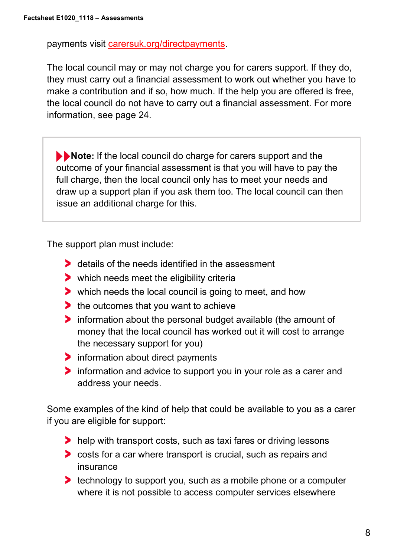payments visit [carersuk.org/directpayments.](https://www.carersuk.org/help-and-advice/practical-support/getting-care-and-support/direct-payments)

The local council may or may not charge you for carers support. If they do, they must carry out a financial assessment to work out whether you have to make a contribution and if so, how much. If the help you are offered is free, the local council do not have to carry out a financial assessment. For more information, see page 24.

**Note:** If the local council do charge for carers support and the outcome of your financial assessment is that you will have to pay the full charge, then the local council only has to meet your needs and draw up a support plan if you ask them too. The local council can then issue an additional charge for this.

The support plan must include:

- **b** details of the needs identified in the assessment
- which needs meet the eligibility criteria
- which needs the local council is going to meet, and how
- the outcomes that you want to achieve
- **If** information about the personal budget available (the amount of money that the local council has worked out it will cost to arrange the necessary support for you)
- $\triangleright$  information about direct payments
- **If information and advice to support you in your role as a carer and** address your needs.

Some examples of the kind of help that could be available to you as a carer if you are eligible for support:

- help with transport costs, such as taxi fares or driving lessons
- **the costs for a car where transport is crucial, such as repairs and** insurance
- **therefore is expressed to support you, such as a mobile phone or a computer** where it is not possible to access computer services elsewhere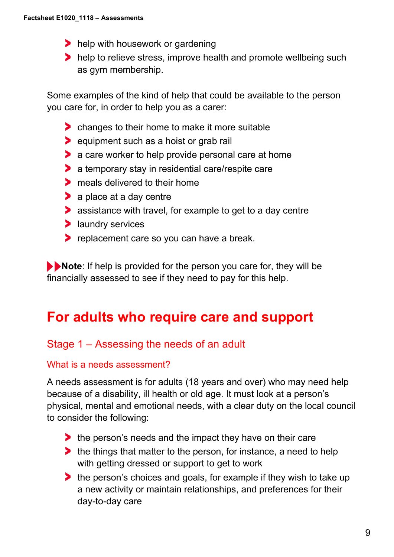- help with housework or gardening
- help to relieve stress, improve health and promote wellbeing such as gym membership.

Some examples of the kind of help that could be available to the person you care for, in order to help you as a carer:

- **Combinal Stranges to their home to make it more suitable**
- **Example 1** equipment such as a hoist or grab rail
- **a** care worker to help provide personal care at home
- a temporary stay in residential care/respite care
- **The meals delivered to their home**
- **a** place at a day centre
- **assistance with travel, for example to get to a day centre**
- **I** laundry services
- **P** replacement care so you can have a break.

**Note:** If help is provided for the person you care for, they will be financially assessed to see if they need to pay for this help.

# **For adults who require care and support**

# Stage 1 – Assessing the needs of an adult

#### What is a needs assessment?

A needs assessment is for adults (18 years and over) who may need help because of a disability, ill health or old age. It must look at a person's physical, mental and emotional needs, with a clear duty on the local council to consider the following:

- the person's needs and the impact they have on their care
- the things that matter to the person, for instance, a need to help with getting dressed or support to get to work
- the person's choices and goals, for example if they wish to take up a new activity or maintain relationships, and preferences for their day-to-day care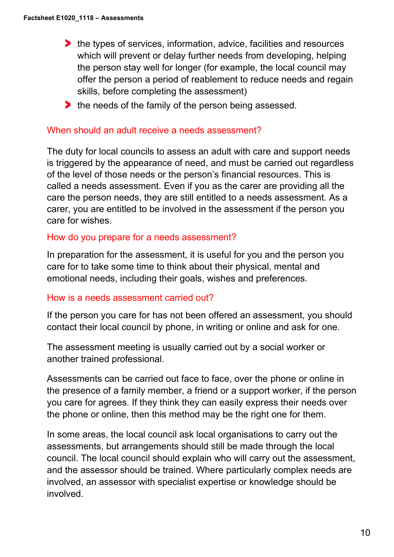- he types of services, information, advice, facilities and resources which will prevent or delay further needs from developing, helping the person stay well for longer (for example, the local council may offer the person a period of reablement to reduce needs and regain skills, before completing the assessment)
- the needs of the family of the person being assessed.

#### When should an adult receive a needs assessment?

The duty for local councils to assess an adult with care and support needs is triggered by the appearance of need, and must be carried out regardless of the level of those needs or the person's financial resources. This is called a needs assessment. Even if you as the carer are providing all the care the person needs, they are still entitled to a needs assessment. As a carer, you are entitled to be involved in the assessment if the person you care for wishes.

#### How do you prepare for a needs assessment?

In preparation for the assessment, it is useful for you and the person you care for to take some time to think about their physical, mental and emotional needs, including their goals, wishes and preferences.

## How is a needs assessment carried out?

If the person you care for has not been offered an assessment, you should contact their local council by phone, in writing or online and ask for one.

The assessment meeting is usually carried out by a social worker or another trained professional.

Assessments can be carried out face to face, over the phone or online in the presence of a family member, a friend or a support worker, if the person you care for agrees. If they think they can easily express their needs over the phone or online, then this method may be the right one for them.

In some areas, the local council ask local organisations to carry out the assessments, but arrangements should still be made through the local council. The local council should explain who will carry out the assessment, and the assessor should be trained. Where particularly complex needs are involved, an assessor with specialist expertise or knowledge should be involved.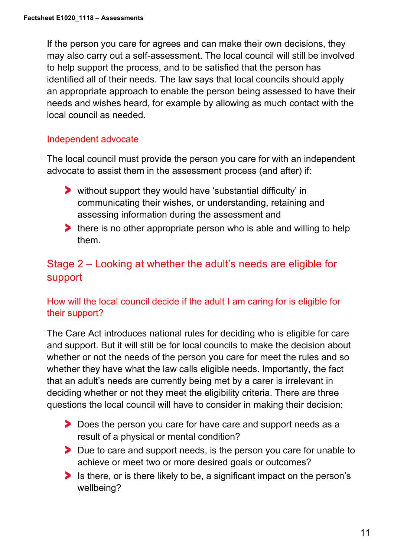If the person you care for agrees and can make their own decisions, they may also carry out a self-assessment. The local council will still be involved to help support the process, and to be satisfied that the person has identified all of their needs. The law says that local councils should apply an appropriate approach to enable the person being assessed to have their needs and wishes heard, for example by allowing as much contact with the local council as needed.

# Independent advocate

The local council must provide the person you care for with an independent advocate to assist them in the assessment process (and after) if:

- without support they would have 'substantial difficulty' in communicating their wishes, or understanding, retaining and assessing information during the assessment and
- If there is no other appropriate person who is able and willing to help them.

# Stage 2 – Looking at whether the adult's needs are eligible for support

# How will the local council decide if the adult I am caring for is eligible for their support?

The Care Act introduces national rules for deciding who is eligible for care and support. But it will still be for local councils to make the decision about whether or not the needs of the person you care for meet the rules and so whether they have what the law calls eligible needs. Importantly, the fact that an adult's needs are currently being met by a carer is irrelevant in deciding whether or not they meet the eligibility criteria. There are three questions the local council will have to consider in making their decision:

- Does the person you care for have care and support needs as a result of a physical or mental condition?
- Due to care and support needs, is the person you care for unable to achieve or meet two or more desired goals or outcomes?
- Is there, or is there likely to be, a significant impact on the person's wellbeing?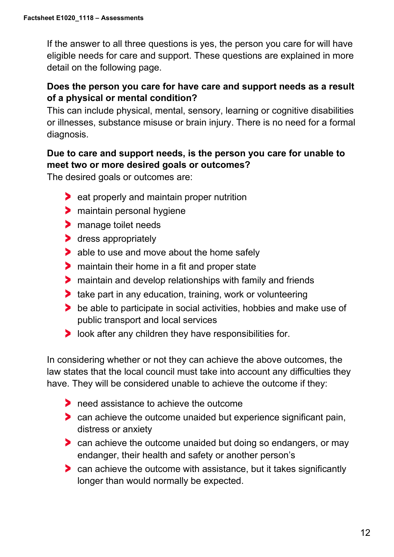If the answer to all three questions is yes, the person you care for will have eligible needs for care and support. These questions are explained in more detail on the following page.

# **Does the person you care for have care and support needs as a result of a physical or mental condition?**

This can include physical, mental, sensory, learning or cognitive disabilities or illnesses, substance misuse or brain injury. There is no need for a formal diagnosis.

# **Due to care and support needs, is the person you care for unable to meet two or more desired goals or outcomes?**

The desired goals or outcomes are:

- **Example 2 beat properly and maintain proper nutrition**
- **>** maintain personal hygiene
- **>** manage toilet needs
- **b** dress appropriately
- **able to use and move about the home safely**
- **If** maintain their home in a fit and proper state
- maintain and develop relationships with family and friends
- **take part in any education, training, work or volunteering**
- **be able to participate in social activities, hobbies and make use of** public transport and local services
- **I** look after any children they have responsibilities for.

In considering whether or not they can achieve the above outcomes, the law states that the local council must take into account any difficulties they have. They will be considered unable to achieve the outcome if they:

- **Theory is a set in achieve the outcome**
- can achieve the outcome unaided but experience significant pain, distress or anxiety
- **Can achieve the outcome unaided but doing so endangers, or may** endanger, their health and safety or another person's
- **Can achieve the outcome with assistance, but it takes significantly** longer than would normally be expected.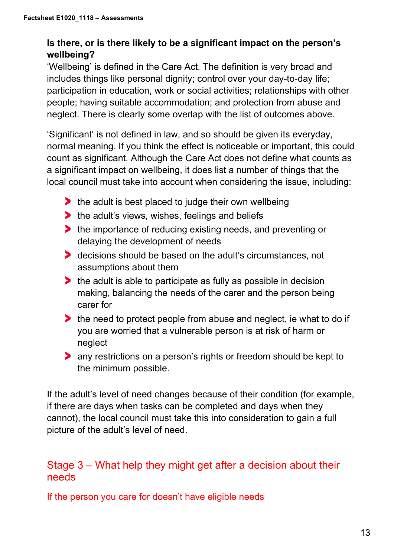# **Is there, or is there likely to be a significant impact on the person's wellbeing?**

'Wellbeing' is defined in the Care Act. The definition is very broad and includes things like personal dignity; control over your day-to-day life; participation in education, work or social activities; relationships with other people; having suitable accommodation; and protection from abuse and neglect. There is clearly some overlap with the list of outcomes above.

'Significant' is not defined in law, and so should be given its everyday, normal meaning. If you think the effect is noticeable or important, this could count as significant. Although the Care Act does not define what counts as a significant impact on wellbeing, it does list a number of things that the local council must take into account when considering the issue, including:

- $\blacktriangleright$  the adult is best placed to judge their own wellbeing
- $\blacktriangleright$  the adult's views, wishes, feelings and beliefs
- **the importance of reducing existing needs, and preventing or** delaying the development of needs
- **b** decisions should be based on the adult's circumstances, not assumptions about them
- If the adult is able to participate as fully as possible in decision making, balancing the needs of the carer and the person being carer for
- the need to protect people from abuse and neglect, ie what to do if you are worried that a vulnerable person is at risk of harm or neglect
- any restrictions on a person's rights or freedom should be kept to the minimum possible.

If the adult's level of need changes because of their condition (for example, if there are days when tasks can be completed and days when they cannot), the local council must take this into consideration to gain a full picture of the adult's level of need.

# Stage 3 – What help they might get after a decision about their needs

If the person you care for doesn't have eligible needs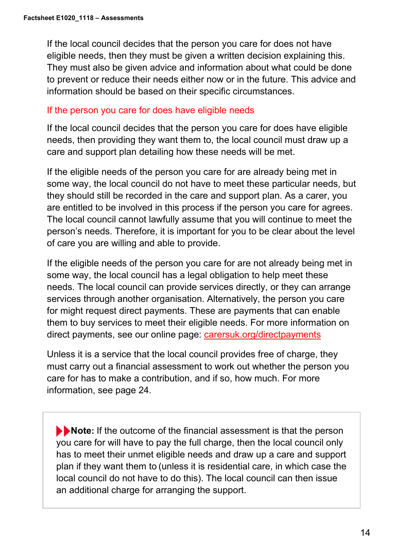If the local council decides that the person you care for does not have eligible needs, then they must be given a written decision explaining this. They must also be given advice and information about what could be done to prevent or reduce their needs either now or in the future. This advice and information should be based on their specific circumstances.

#### If the person you care for does have eligible needs

If the local council decides that the person you care for does have eligible needs, then providing they want them to, the local council must draw up a care and support plan detailing how these needs will be met.

If the eligible needs of the person you care for are already being met in some way, the local council do not have to meet these particular needs, but they should still be recorded in the care and support plan. As a carer, you are entitled to be involved in this process if the person you care for agrees. The local council cannot lawfully assume that you will continue to meet the person's needs. Therefore, it is important for you to be clear about the level of care you are willing and able to provide.

If the eligible needs of the person you care for are not already being met in some way, the local council has a legal obligation to help meet these needs. The local council can provide services directly, or they can arrange services through another organisation. Alternatively, the person you care for might request direct payments. These are payments that can enable them to buy services to meet their eligible needs. For more information on direct payments, see our online page: carersuk.org/directpayments

Unless it is a service that the local council provides free of charge, they must carry out a financial assessment to work out whether the person you care for has to make a contribution, and if so, how much. For more information, see page 24.

**Note:** If the outcome of the financial assessment is that the person you care for will have to pay the full charge, then the local council only has to meet their unmet eligible needs and draw up a care and support plan if they want them to (unless it is residential care, in which case the local council do not have to do this). The local council can then issue an additional charge for arranging the support.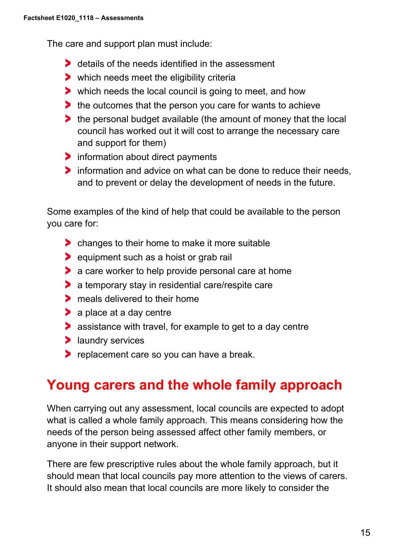The care and support plan must include:

- details of the needs identified in the assessment
- which needs meet the eligibility criteria
- which needs the local council is going to meet, and how
- the outcomes that the person you care for wants to achieve
- the personal budget available (the amount of money that the local council has worked out it will cost to arrange the necessary care and support for them)
- Information about direct payments
- **Information and advice on what can be done to reduce their needs,** and to prevent or delay the development of needs in the future.

Some examples of the kind of help that could be available to the person you care for:

- changes to their home to make it more suitable
- **Example 1** equipment such as a hoist or grab rail
- **a** care worker to help provide personal care at home
- **a** temporary stay in residential care/respite care
- **The meals delivered to their home**
- > a place at a day centre
- **assistance with travel, for example to get to a day centre**
- **>** laundry services
- **P** replacement care so you can have a break.

# **Young carers and the whole family approach**

When carrying out any assessment, local councils are expected to adopt what is called a whole family approach. This means considering how the needs of the person being assessed affect other family members, or anyone in their support network.

There are few prescriptive rules about the whole family approach, but it should mean that local councils pay more attention to the views of carers. It should also mean that local councils are more likely to consider the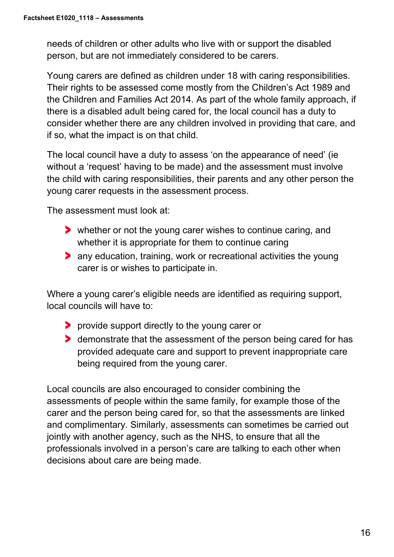needs of children or other adults who live with or support the disabled person, but are not immediately considered to be carers.

Young carers are defined as children under 18 with caring responsibilities. Their rights to be assessed come mostly from the Children's Act 1989 and the Children and Families Act 2014. As part of the whole family approach, if there is a disabled adult being cared for, the local council has a duty to consider whether there are any children involved in providing that care, and if so, what the impact is on that child.

The local council have a duty to assess 'on the appearance of need' (ie without a 'request' having to be made) and the assessment must involve the child with caring responsibilities, their parents and any other person the young carer requests in the assessment process.

The assessment must look at:

- whether or not the young carer wishes to continue caring, and whether it is appropriate for them to continue caring
- any education, training, work or recreational activities the young carer is or wishes to participate in.

Where a young carer's eligible needs are identified as requiring support, local councils will have to:

- **P** provide support directly to the young carer or
- demonstrate that the assessment of the person being cared for has provided adequate care and support to prevent inappropriate care being required from the young carer.

Local councils are also encouraged to consider combining the assessments of people within the same family, for example those of the carer and the person being cared for, so that the assessments are linked and complimentary. Similarly, assessments can sometimes be carried out jointly with another agency, such as the NHS, to ensure that all the professionals involved in a person's care are talking to each other when decisions about care are being made.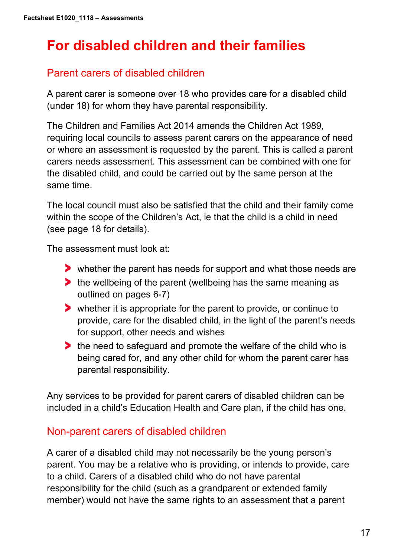# **For disabled children and their families**

# Parent carers of disabled children

A parent carer is someone over 18 who provides care for a disabled child (under 18) for whom they have parental responsibility.

The Children and Families Act 2014 amends the Children Act 1989, requiring local councils to assess parent carers on the appearance of need or where an assessment is requested by the parent. This is called a parent carers needs assessment. This assessment can be combined with one for the disabled child, and could be carried out by the same person at the same time.

The local council must also be satisfied that the child and their family come within the scope of the Children's Act, ie that the child is a child in need (see page 18 for details).

The assessment must look at:

- whether the parent has needs for support and what those needs are
- the wellbeing of the parent (wellbeing has the same meaning as outlined on pages 6-7)
- whether it is appropriate for the parent to provide, or continue to provide, care for the disabled child, in the light of the parent's needs for support, other needs and wishes
- If the need to safeguard and promote the welfare of the child who is being cared for, and any other child for whom the parent carer has parental responsibility.

Any services to be provided for parent carers of disabled children can be included in a child's Education Health and Care plan, if the child has one.

# Non-parent carers of disabled children

A carer of a disabled child may not necessarily be the young person's parent. You may be a relative who is providing, or intends to provide, care to a child. Carers of a disabled child who do not have parental responsibility for the child (such as a grandparent or extended family member) would not have the same rights to an assessment that a parent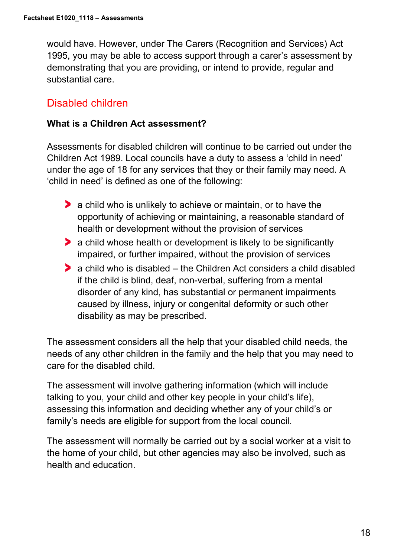would have. However, under The Carers (Recognition and Services) Act 1995, you may be able to access support through a carer's assessment by demonstrating that you are providing, or intend to provide, regular and substantial care.

# Disabled children

#### **What is a Children Act assessment?**

Assessments for disabled children will continue to be carried out under the Children Act 1989. Local councils have a duty to assess a 'child in need' under the age of 18 for any services that they or their family may need. A 'child in need' is defined as one of the following:

- **a** child who is unlikely to achieve or maintain, or to have the opportunity of achieving or maintaining, a reasonable standard of health or development without the provision of services
- a child whose health or development is likely to be significantly impaired, or further impaired, without the provision of services
- a child who is disabled the Children Act considers a child disabled if the child is blind, deaf, non-verbal, suffering from a mental disorder of any kind, has substantial or permanent impairments caused by illness, injury or congenital deformity or such other disability as may be prescribed.

The assessment considers all the help that your disabled child needs, the needs of any other children in the family and the help that you may need to care for the disabled child.

The assessment will involve gathering information (which will include talking to you, your child and other key people in your child's life), assessing this information and deciding whether any of your child's or family's needs are eligible for support from the local council.

The assessment will normally be carried out by a social worker at a visit to the home of your child, but other agencies may also be involved, such as health and education.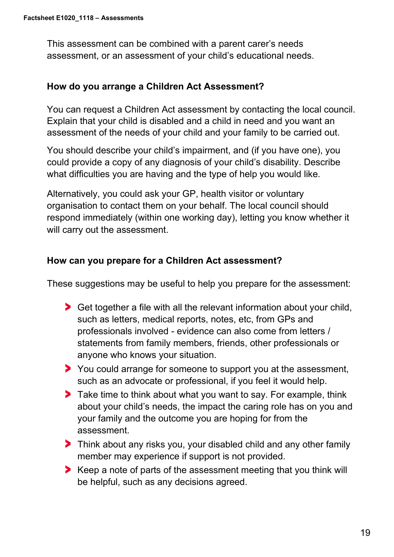This assessment can be combined with a parent carer's needs assessment, or an assessment of your child's educational needs.

#### **How do you arrange a Children Act Assessment?**

You can request a Children Act assessment by contacting the local council. Explain that your child is disabled and a child in need and you want an assessment of the needs of your child and your family to be carried out.

You should describe your child's impairment, and (if you have one), you could provide a copy of any diagnosis of your child's disability. Describe what difficulties you are having and the type of help you would like.

Alternatively, you could ask your GP, health visitor or voluntary organisation to contact them on your behalf. The local council should respond immediately (within one working day), letting you know whether it will carry out the assessment.

## **How can you prepare for a Children Act assessment?**

These suggestions may be useful to help you prepare for the assessment:

- Get together a file with all the relevant information about your child, such as letters, medical reports, notes, etc, from GPs and professionals involved - evidence can also come from letters / statements from family members, friends, other professionals or anyone who knows your situation.
- You could arrange for someone to support you at the assessment, such as an advocate or professional, if you feel it would help.
- **Take time to think about what you want to say. For example, think** about your child's needs, the impact the caring role has on you and your family and the outcome you are hoping for from the assessment.
- Think about any risks you, your disabled child and any other family member may experience if support is not provided.
- Keep a note of parts of the assessment meeting that you think will be helpful, such as any decisions agreed.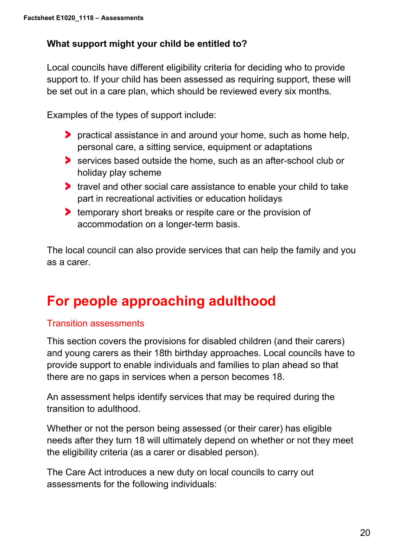# **What support might your child be entitled to?**

Local councils have different eligibility criteria for deciding who to provide support to. If your child has been assessed as requiring support, these will be set out in a care plan, which should be reviewed every six months.

Examples of the types of support include:

- practical assistance in and around your home, such as home help, personal care, a sitting service, equipment or adaptations
- Services based outside the home, such as an after-school club or holiday play scheme
- If travel and other social care assistance to enable your child to take part in recreational activities or education holidays
- **temporary short breaks or respite care or the provision of** accommodation on a longer-term basis.

The local council can also provide services that can help the family and you as a carer.

# **For people approaching adulthood**

## Transition assessments

This section covers the provisions for disabled children (and their carers) and young carers as their 18th birthday approaches. Local councils have to provide support to enable individuals and families to plan ahead so that there are no gaps in services when a person becomes 18.

An assessment helps identify services that may be required during the transition to adulthood.

Whether or not the person being assessed (or their carer) has eligible needs after they turn 18 will ultimately depend on whether or not they meet the eligibility criteria (as a carer or disabled person).

The Care Act introduces a new duty on local councils to carry out assessments for the following individuals: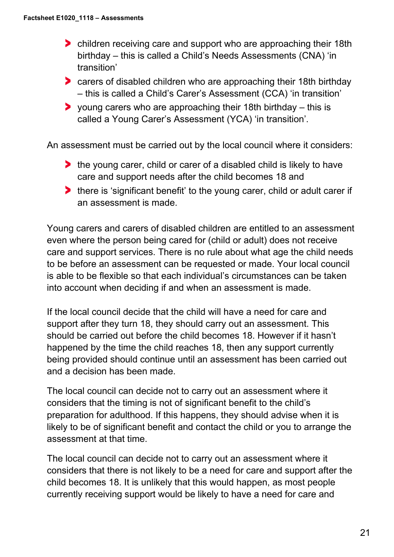- children receiving care and support who are approaching their 18th birthday – this is called a Child's Needs Assessments (CNA) 'in transition'
- carers of disabled children who are approaching their 18th birthday – this is called a Child's Carer's Assessment (CCA) 'in transition'
- $\triangleright$  young carers who are approaching their 18th birthday this is called a Young Carer's Assessment (YCA) 'in transition'.

An assessment must be carried out by the local council where it considers:

- **the young carer, child or carer of a disabled child is likely to have** care and support needs after the child becomes 18 and
- there is 'significant benefit' to the young carer, child or adult carer if an assessment is made.

Young carers and carers of disabled children are entitled to an assessment even where the person being cared for (child or adult) does not receive care and support services. There is no rule about what age the child needs to be before an assessment can be requested or made. Your local council is able to be flexible so that each individual's circumstances can be taken into account when deciding if and when an assessment is made.

If the local council decide that the child will have a need for care and support after they turn 18, they should carry out an assessment. This should be carried out before the child becomes 18. However if it hasn't happened by the time the child reaches 18, then any support currently being provided should continue until an assessment has been carried out and a decision has been made.

The local council can decide not to carry out an assessment where it considers that the timing is not of significant benefit to the child's preparation for adulthood. If this happens, they should advise when it is likely to be of significant benefit and contact the child or you to arrange the assessment at that time.

The local council can decide not to carry out an assessment where it considers that there is not likely to be a need for care and support after the child becomes 18. It is unlikely that this would happen, as most people currently receiving support would be likely to have a need for care and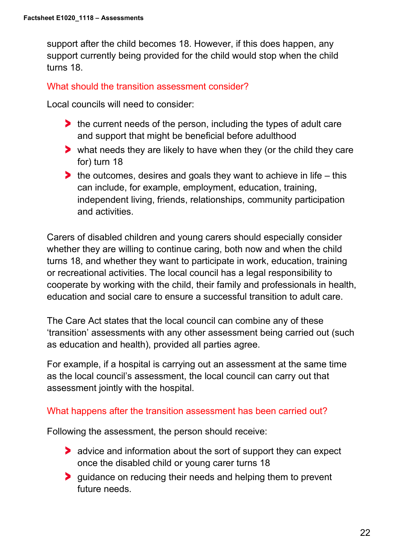support after the child becomes 18. However, if this does happen, any support currently being provided for the child would stop when the child turns 18.

## What should the transition assessment consider?

Local councils will need to consider:

- **the current needs of the person, including the types of adult care** and support that might be beneficial before adulthood
- what needs they are likely to have when they (or the child they care for) turn 18
- $\blacktriangleright$  the outcomes, desires and goals they want to achieve in life this can include, for example, employment, education, training, independent living, friends, relationships, community participation and activities.

Carers of disabled children and young carers should especially consider whether they are willing to continue caring, both now and when the child turns 18, and whether they want to participate in work, education, training or recreational activities. The local council has a legal responsibility to cooperate by working with the child, their family and professionals in health, education and social care to ensure a successful transition to adult care.

The Care Act states that the local council can combine any of these 'transition' assessments with any other assessment being carried out (such as education and health), provided all parties agree.

For example, if a hospital is carrying out an assessment at the same time as the local council's assessment, the local council can carry out that assessment jointly with the hospital.

#### What happens after the transition assessment has been carried out?

Following the assessment, the person should receive:

- **advice and information about the sort of support they can expect** once the disabled child or young carer turns 18
- **If** guidance on reducing their needs and helping them to prevent future needs.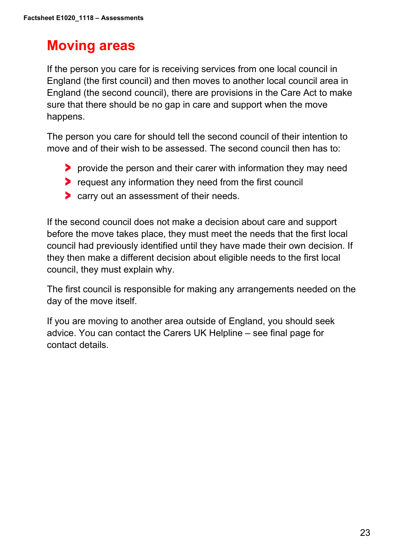# **Moving areas**

If the person you care for is receiving services from one local council in England (the first council) and then moves to another local council area in England (the second council), there are provisions in the Care Act to make sure that there should be no gap in care and support when the move happens.

The person you care for should tell the second council of their intention to move and of their wish to be assessed. The second council then has to:

- **P** provide the person and their carer with information they may need
- **P** request any information they need from the first council
- **Carry out an assessment of their needs.**

If the second council does not make a decision about care and support before the move takes place, they must meet the needs that the first local council had previously identified until they have made their own decision. If they then make a different decision about eligible needs to the first local council, they must explain why.

The first council is responsible for making any arrangements needed on the day of the move itself.

If you are moving to another area outside of England, you should seek advice. You can contact the Carers UK Helpline – see final page for contact details.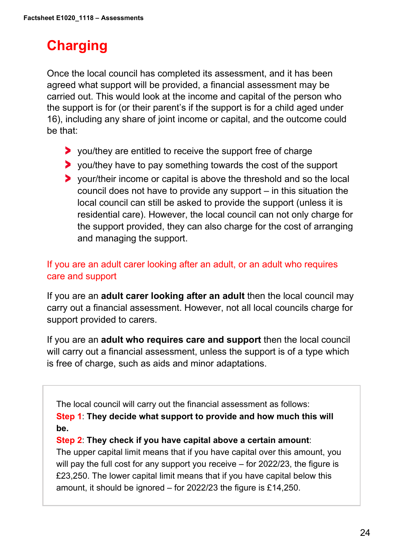# **Charging**

Once the local council has completed its assessment, and it has been agreed what support will be provided, a financial assessment may be carried out. This would look at the income and capital of the person who the support is for (or their parent's if the support is for a child aged under 16), including any share of joint income or capital, and the outcome could be that:

- you/they are entitled to receive the support free of charge
- you/they have to pay something towards the cost of the support
- your/their income or capital is above the threshold and so the local council does not have to provide any support – in this situation the local council can still be asked to provide the support (unless it is residential care). However, the local council can not only charge for the support provided, they can also charge for the cost of arranging and managing the support.

# If you are an adult carer looking after an adult, or an adult who requires care and support

If you are an **adult carer looking after an adult** then the local council may carry out a financial assessment. However, not all local councils charge for support provided to carers.

If you are an **adult who requires care and support** then the local council will carry out a financial assessment, unless the support is of a type which is free of charge, such as aids and minor adaptations.

The local council will carry out the financial assessment as follows: **Step 1**: **They decide what support to provide and how much this will be.** 

#### **Step 2**: **They check if you have capital above a certain amount**:

The upper capital limit means that if you have capital over this amount, you will pay the full cost for any support you receive – for 2022/23, the figure is £23,250. The lower capital limit means that if you have capital below this amount, it should be ignored – for 2022/23 the figure is £14,250.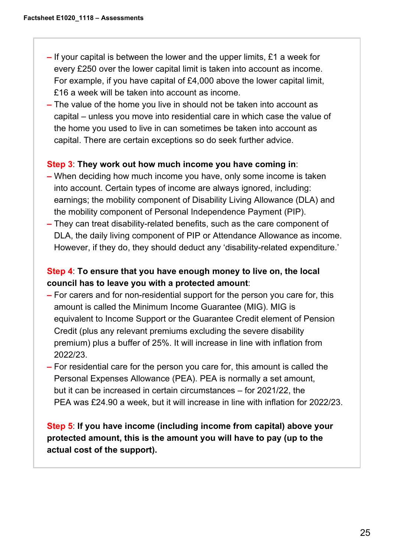- **–** If your capital is between the lower and the upper limits, £1 a week for every £250 over the lower capital limit is taken into account as income. For example, if you have capital of £4,000 above the lower capital limit, £16 a week will be taken into account as income.
- The value of the home you live in should not be taken into account as capital – unless you move into residential care in which case the value of the home you used to live in can sometimes be taken into account as capital. There are certain exceptions so do seek further advice.

#### **Step 3**: **They work out how much income you have coming in**:

- When deciding how much income you have, only some income is taken into account. Certain types of income are always ignored, including: earnings; the mobility component of Disability Living Allowance (DLA) and the mobility component of Personal Independence Payment (PIP).
- They can treat disability-related benefits, such as the care component of DLA, the daily living component of PIP or Attendance Allowance as income. However, if they do, they should deduct any 'disability-related expenditure.'

## **Step 4**: **To ensure that you have enough money to live on, the local council has to leave you with a protected amount**:

- For carers and for non-residential support for the person you care for, this amount is called the Minimum Income Guarantee (MIG). MIG is equivalent to Income Support or the Guarantee Credit element of Pension Credit (plus any relevant premiums excluding the severe disability premium) plus a buffer of 25%. It will increase in line with inflation from 2022/23.
- For residential care for the person you care for, this amount is called the Personal Expenses Allowance (PEA). PEA is normally a set amount, but it can be increased in certain circumstances – for 2021/22, the PEA was £24.90 a week, but it will increase in line with inflation for 2022/23.

# **Step 5**: **If you have income (including income from capital) above your protected amount, this is the amount you will have to pay (up to the actual cost of the support).**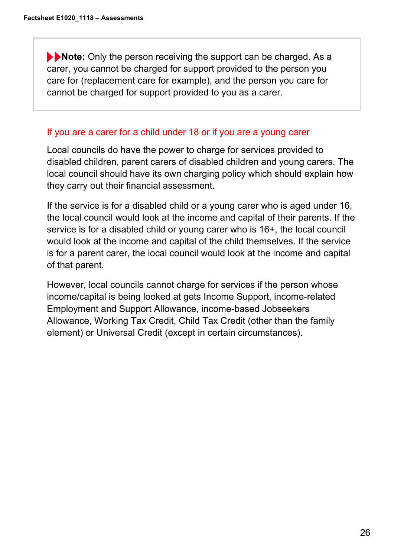**Note:** Only the person receiving the support can be charged. As a carer, you cannot be charged for support provided to the person you care for (replacement care for example), and the person you care for cannot be charged for support provided to you as a carer.

# If you are a carer for a child under 18 or if you are a young carer

Local councils do have the power to charge for services provided to disabled children, parent carers of disabled children and young carers. The local council should have its own charging policy which should explain how they carry out their financial assessment.

If the service is for a disabled child or a young carer who is aged under 16, the local council would look at the income and capital of their parents. If the service is for a disabled child or young carer who is 16+, the local council would look at the income and capital of the child themselves. If the service is for a parent carer, the local council would look at the income and capital of that parent.

However, local councils cannot charge for services if the person whose income/capital is being looked at gets Income Support, income-related Employment and Support Allowance, income-based Jobseekers Allowance, Working Tax Credit, Child Tax Credit (other than the family element) or Universal Credit (except in certain circumstances).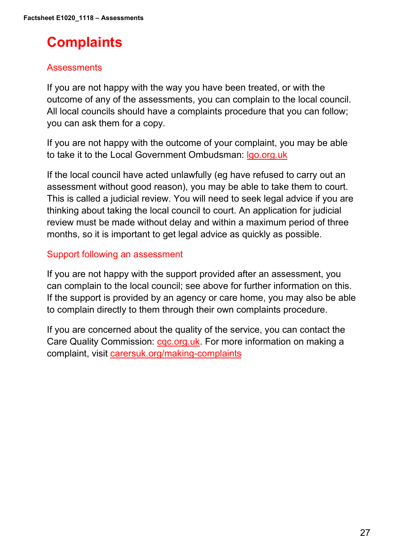# **Complaints**

# Assessments

If you are not happy with the way you have been treated, or with the outcome of any of the assessments, you can complain to the local council. All local councils should have a complaints procedure that you can follow; you can ask them for a copy.

If you are not happy with the outcome of your complaint, you may be able to take it to the Local Government Ombudsman: [lgo.org.uk](https://www.lgo.org.uk/)

If the local council have acted unlawfully (eg have refused to carry out an assessment without good reason), you may be able to take them to court. This is called a judicial review. You will need to seek legal advice if you are thinking about taking the local council to court. An application for judicial review must be made without delay and within a maximum period of three months, so it is important to get legal advice as quickly as possible.

## Support following an assessment

If you are not happy with the support provided after an assessment, you can complain to the local council; see above for further information on this. If the support is provided by an agency or care home, you may also be able to complain directly to them through their own complaints procedure.

If you are concerned about the quality of the service, you can contact the Care Quality Commission: [cqc.org.uk.](https://www.cqc.org.uk/) For more information on making a complaint, visit [carersuk.org/making-complaints](https://www.carersuk.org/help-and-advice/practical-support/getting-care-and-support/making-complaints)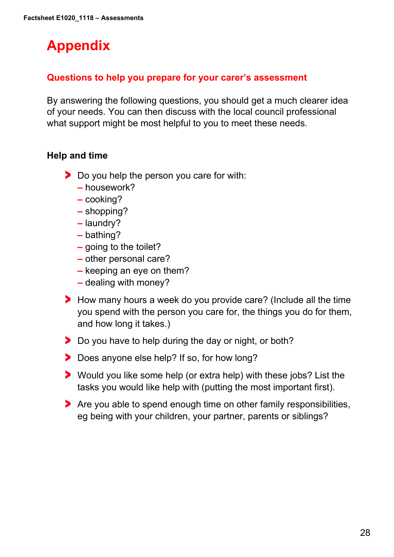# **Appendix**

# **Questions to help you prepare for your carer's assessment**

By answering the following questions, you should get a much clearer idea of your needs. You can then discuss with the local council professional what support might be most helpful to you to meet these needs.

## **Help and time**

- Do you help the person you care for with:
	- **–** housework?
	- **–** cooking?
	- **–** shopping?
	- **–** laundry?
	- **–** bathing?
	- **–** going to the toilet?
	- **–** other personal care?
	- **–** keeping an eye on them?
	- **–** dealing with money?
- How many hours a week do you provide care? (Include all the time you spend with the person you care for, the things you do for them, and how long it takes.)
- Do you have to help during the day or night, or both?
- Does anyone else help? If so, for how long?
- Would you like some help (or extra help) with these jobs? List the tasks you would like help with (putting the most important first).
- Are you able to spend enough time on other family responsibilities, eg being with your children, your partner, parents or siblings?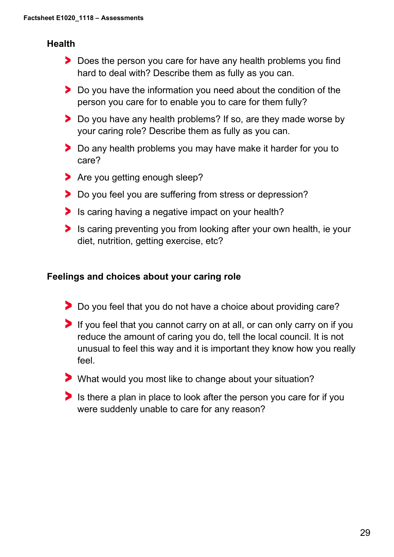# **Health**

- Does the person you care for have any health problems you find hard to deal with? Describe them as fully as you can.
- **Do you have the information you need about the condition of the** person you care for to enable you to care for them fully?
- Do you have any health problems? If so, are they made worse by your caring role? Describe them as fully as you can.
- Do any health problems you may have make it harder for you to care?
- **Are you getting enough sleep?**
- Do you feel you are suffering from stress or depression?
- Is caring having a negative impact on your health?
- Is caring preventing you from looking after your own health, ie your diet, nutrition, getting exercise, etc?

## **Feelings and choices about your caring role**

- Do you feel that you do not have a choice about providing care?
- If you feel that you cannot carry on at all, or can only carry on if you reduce the amount of caring you do, tell the local council. It is not unusual to feel this way and it is important they know how you really feel.
- What would you most like to change about your situation?
- Is there a plan in place to look after the person you care for if you were suddenly unable to care for any reason?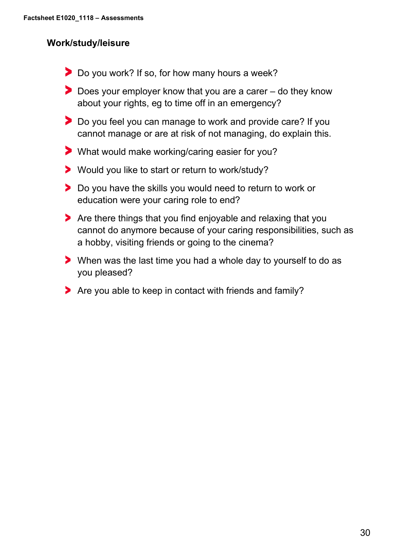# **Work/study/leisure**

- Do you work? If so, for how many hours a week?
- ▶ Does your employer know that you are a carer do they know about your rights, eg to time off in an emergency?
- Do you feel you can manage to work and provide care? If you cannot manage or are at risk of not managing, do explain this.
- What would make working/caring easier for you?
- Would you like to start or return to work/study?
- **Do you have the skills you would need to return to work or** education were your caring role to end?
- Are there things that you find enjoyable and relaxing that you cannot do anymore because of your caring responsibilities, such as a hobby, visiting friends or going to the cinema?
- When was the last time you had a whole day to yourself to do as you pleased?
- Are you able to keep in contact with friends and family?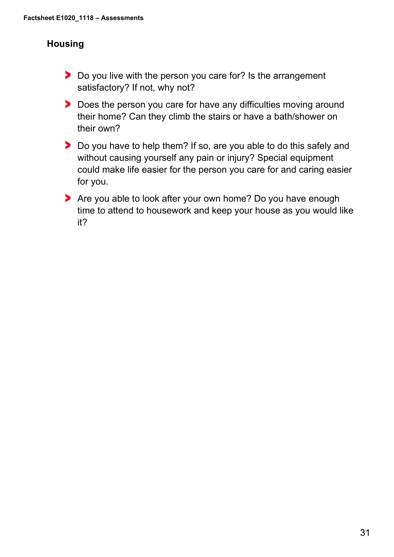# **Housing**

- Do you live with the person you care for? Is the arrangement satisfactory? If not, why not?
- Does the person you care for have any difficulties moving around their home? Can they climb the stairs or have a bath/shower on their own?
- ▶ Do you have to help them? If so, are you able to do this safely and without causing yourself any pain or injury? Special equipment could make life easier for the person you care for and caring easier for you.
- Are you able to look after your own home? Do you have enough time to attend to housework and keep your house as you would like it?